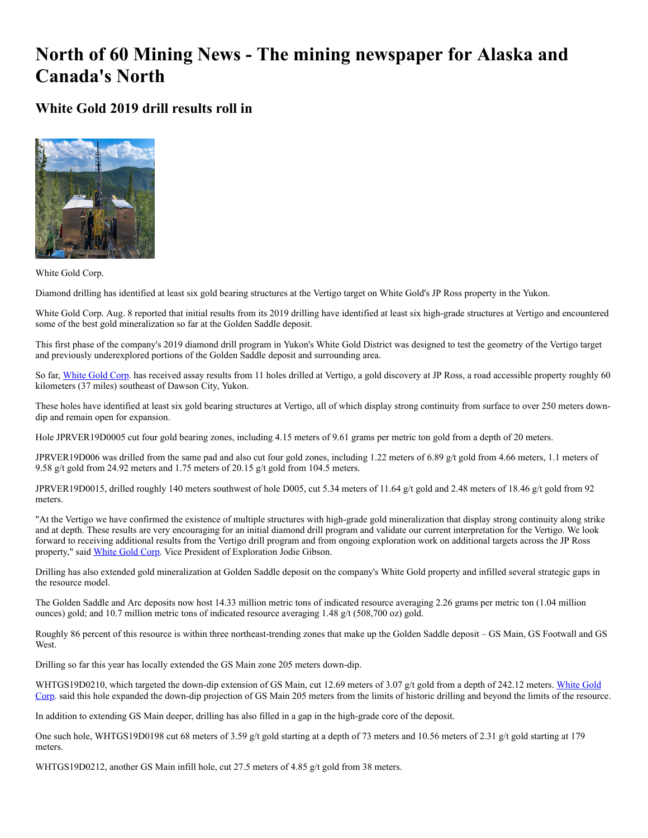## **North of 60 Mining News - The mining newspaper for Alaska and Canada's North**

**White Gold 2019 drill results roll in**



White Gold Corp.

Diamond drilling has identified at least six gold bearing structures at the Vertigo target on White Gold's JP Ross property in the Yukon.

White Gold Corp. Aug. 8 reported that initial results from its 2019 drilling have identified at least six high-grade structures at Vertigo and encountered some of the best gold mineralization so far at the Golden Saddle deposit.

This first phase of the company's 2019 diamond drill program in Yukon's White Gold District was designed to test the geometry of the Vertigo target and previously underexplored portions of the Golden Saddle deposit and surrounding area.

So far, [White Gold Corp.](https://www.miningnewsnorth.com/search/White_Gold_Corp) has received assay results from 11 holes drilled at Vertigo, a gold discovery at JP Ross, a road accessible property roughly 60 kilometers (37 miles) southeast of Dawson City, Yukon.

These holes have identified at least six gold bearing structures at Vertigo, all of which display strong continuity from surface to over 250 meters downdip and remain open for expansion.

Hole JPRVER19D0005 cut four gold bearing zones, including 4.15 meters of 9.61 grams per metric ton gold from a depth of 20 meters.

JPRVER19D006 was drilled from the same pad and also cut four gold zones, including 1.22 meters of 6.89 g/t gold from 4.66 meters, 1.1 meters of 9.58 g/t gold from 24.92 meters and 1.75 meters of 20.15 g/t gold from 104.5 meters.

JPRVER19D0015, drilled roughly 140 meters southwest of hole D005, cut 5.34 meters of 11.64 g/t gold and 2.48 meters of 18.46 g/t gold from 92 meters.

"At the Vertigo we have confirmed the existence of multiple structures with high-grade gold mineralization that display strong continuity along strike and at depth. These results are very encouraging for an initial diamond drill program and validate our current interpretation for the Vertigo. We look forward to receiving additional results from the Vertigo drill program and from ongoing exploration work on additional targets across the JP Ross property," said [White Gold Corp.](https://www.miningnewsnorth.com/search/White_Gold_Corp) Vice President of Exploration Jodie Gibson.

Drilling has also extended gold mineralization at Golden Saddle deposit on the company's White Gold property and infilled several strategic gaps in the resource model.

The Golden Saddle and Arc deposits now host 14.33 million metric tons of indicated resource averaging 2.26 grams per metric ton (1.04 million ounces) gold; and 10.7 million metric tons of indicated resource averaging 1.48 g/t (508,700 oz) gold.

Roughly 86 percent of this resource is within three northeast-trending zones that make up the Golden Saddle deposit – GS Main, GS Footwall and GS West.

Drilling so far this year has locally extended the GS Main zone 205 meters down-dip.

[WHTGS19D0210, which targeted the down-dip extension of GS Main, cut 12.69 meters of 3.07 g/t gold from a depth of 242.12 meters. White Gold](https://www.miningnewsnorth.com/search/White_Gold_Corp) Corp. said this hole expanded the down-dip projection of GS Main 205 meters from the limits of historic drilling and beyond the limits of the resource.

In addition to extending GS Main deeper, drilling has also filled in a gap in the high-grade core of the deposit.

One such hole, WHTGS19D0198 cut 68 meters of 3.59 g/t gold starting at a depth of 73 meters and 10.56 meters of 2.31 g/t gold starting at 179 meters.

WHTGS19D0212, another GS Main infill hole, cut 27.5 meters of 4.85 g/t gold from 38 meters.